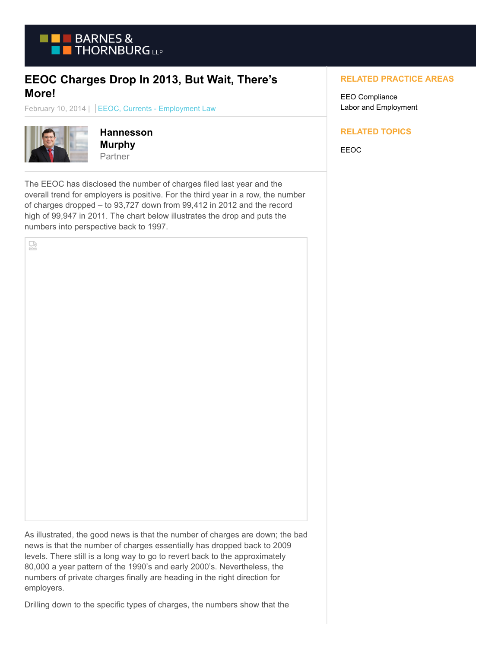

## **EEOC Charges Drop In 2013, But Wait, There's More!**

February 10, 2014 | EEOC, Currents - Employment Law



덣

**Hannesson Murphy** Partner

The EEOC has disclosed the number of charges filed last year and the overall trend for employers is positive. For the third year in a row, the number of charges dropped – to 93,727 down from 99,412 in 2012 and the record high of 99,947 in 2011. The chart below illustrates the drop and puts the numbers into perspective back to 1997.

## **RELATED PRACTICE AREAS**

EEO Compliance Labor and Employment

## **RELATED TOPICS**

EEOC

As illustrated, the good news is that the number of charges are down; the bad news is that the number of charges essentially has dropped back to 2009 levels. There still is a long way to go to revert back to the approximately 80,000 a year pattern of the 1990's and early 2000's. Nevertheless, the numbers of private charges finally are heading in the right direction for employers.

Drilling down to the specific types of charges, the numbers show that the